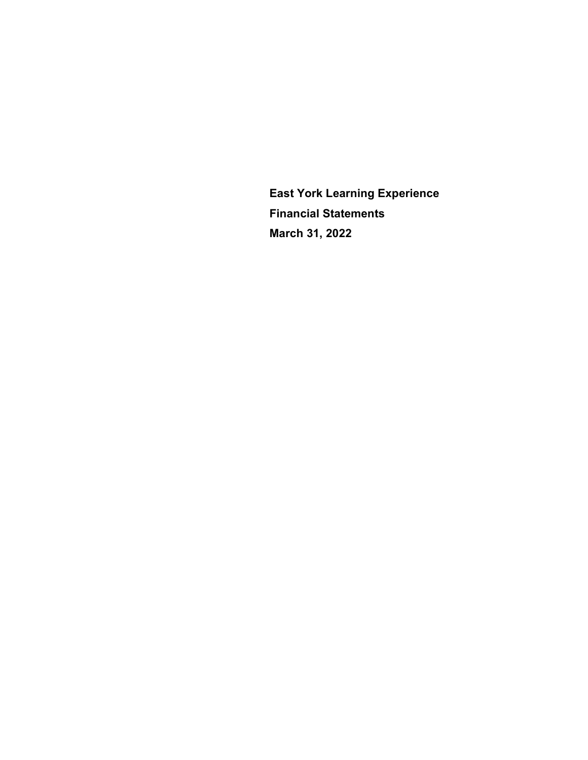East York Learning Experience Financial Statements March 31, 2022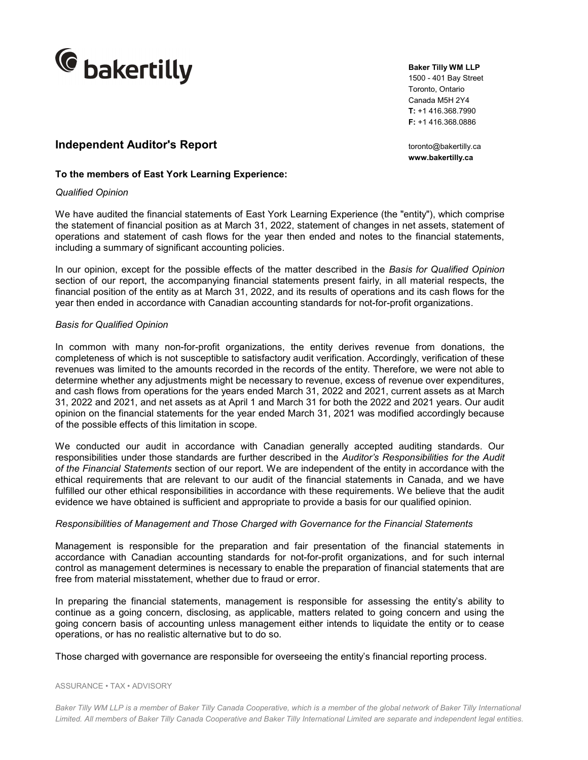

#### Baker Tilly WM LLP

1500 - 401 Bay Street Toronto, Ontario Canada M5H 2Y4 T: +1 416.368.7990 F: +1 416.368.0886

www.bakertilly.ca

# Independent Auditor's Report **the Contract of Contract Auditor's Report** to the Contract of Contract and The Contract and The Contract and The Contract and The Contract and The Contract and The Contract and The Contract an

# To the members of East York Learning Experience:

# Qualified Opinion

We have audited the financial statements of East York Learning Experience (the "entity"), which comprise the statement of financial position as at March 31, 2022, statement of changes in net assets, statement of operations and statement of cash flows for the year then ended and notes to the financial statements, including a summary of significant accounting policies.

In our opinion, except for the possible effects of the matter described in the Basis for Qualified Opinion section of our report, the accompanying financial statements present fairly, in all material respects, the financial position of the entity as at March 31, 2022, and its results of operations and its cash flows for the year then ended in accordance with Canadian accounting standards for not-for-profit organizations.

# Basis for Qualified Opinion

In common with many non-for-profit organizations, the entity derives revenue from donations, the completeness of which is not susceptible to satisfactory audit verification. Accordingly, verification of these revenues was limited to the amounts recorded in the records of the entity. Therefore, we were not able to determine whether any adjustments might be necessary to revenue, excess of revenue over expenditures, and cash flows from operations for the years ended March 31, 2022 and 2021, current assets as at March 31, 2022 and 2021, and net assets as at April 1 and March 31 for both the 2022 and 2021 years. Our audit opinion on the financial statements for the year ended March 31, 2021 was modified accordingly because of the possible effects of this limitation in scope.

We conducted our audit in accordance with Canadian generally accepted auditing standards. Our responsibilities under those standards are further described in the Auditor's Responsibilities for the Audit of the Financial Statements section of our report. We are independent of the entity in accordance with the ethical requirements that are relevant to our audit of the financial statements in Canada, and we have fulfilled our other ethical responsibilities in accordance with these requirements. We believe that the audit evidence we have obtained is sufficient and appropriate to provide a basis for our qualified opinion.

## Responsibilities of Management and Those Charged with Governance for the Financial Statements

Management is responsible for the preparation and fair presentation of the financial statements in accordance with Canadian accounting standards for not-for-profit organizations, and for such internal control as management determines is necessary to enable the preparation of financial statements that are free from material misstatement, whether due to fraud or error.

In preparing the financial statements, management is responsible for assessing the entity's ability to continue as a going concern, disclosing, as applicable, matters related to going concern and using the going concern basis of accounting unless management either intends to liquidate the entity or to cease operations, or has no realistic alternative but to do so.

Those charged with governance are responsible for overseeing the entity's financial reporting process.

#### ASSURANCE • TAX • ADVISORY

Baker Tilly WM LLP is a member of Baker Tilly Canada Cooperative, which is a member of the global network of Baker Tilly International Limited. All members of Baker Tilly Canada Cooperative and Baker Tilly International Limited are separate and independent legal entities.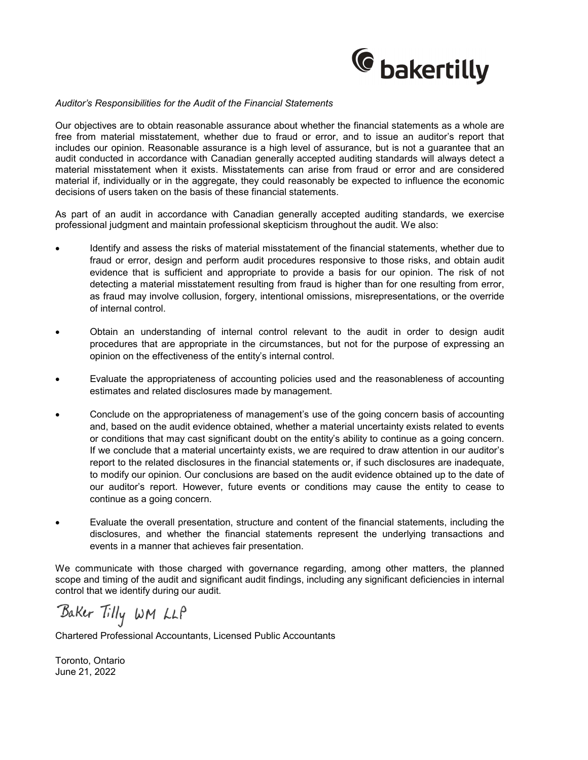

# Auditor's Responsibilities for the Audit of the Financial Statements

Our objectives are to obtain reasonable assurance about whether the financial statements as a whole are free from material misstatement, whether due to fraud or error, and to issue an auditor's report that includes our opinion. Reasonable assurance is a high level of assurance, but is not a guarantee that an audit conducted in accordance with Canadian generally accepted auditing standards will always detect a material misstatement when it exists. Misstatements can arise from fraud or error and are considered material if, individually or in the aggregate, they could reasonably be expected to influence the economic decisions of users taken on the basis of these financial statements.

As part of an audit in accordance with Canadian generally accepted auditing standards, we exercise professional judgment and maintain professional skepticism throughout the audit. We also:

- Identify and assess the risks of material misstatement of the financial statements, whether due to fraud or error, design and perform audit procedures responsive to those risks, and obtain audit evidence that is sufficient and appropriate to provide a basis for our opinion. The risk of not detecting a material misstatement resulting from fraud is higher than for one resulting from error, as fraud may involve collusion, forgery, intentional omissions, misrepresentations, or the override of internal control.
- Obtain an understanding of internal control relevant to the audit in order to design audit procedures that are appropriate in the circumstances, but not for the purpose of expressing an opinion on the effectiveness of the entity's internal control.
- Evaluate the appropriateness of accounting policies used and the reasonableness of accounting estimates and related disclosures made by management.
- Conclude on the appropriateness of management's use of the going concern basis of accounting and, based on the audit evidence obtained, whether a material uncertainty exists related to events or conditions that may cast significant doubt on the entity's ability to continue as a going concern. If we conclude that a material uncertainty exists, we are required to draw attention in our auditor's report to the related disclosures in the financial statements or, if such disclosures are inadequate, to modify our opinion. Our conclusions are based on the audit evidence obtained up to the date of our auditor's report. However, future events or conditions may cause the entity to cease to continue as a going concern.
- Evaluate the overall presentation, structure and content of the financial statements, including the disclosures, and whether the financial statements represent the underlying transactions and events in a manner that achieves fair presentation.

We communicate with those charged with governance regarding, among other matters, the planned scope and timing of the audit and significant audit findings, including any significant deficiencies in internal control that we identify during our audit.

Baker Tilly WM LLP

Chartered Professional Accountants, Licensed Public Accountants

Toronto, Ontario June 21, 2022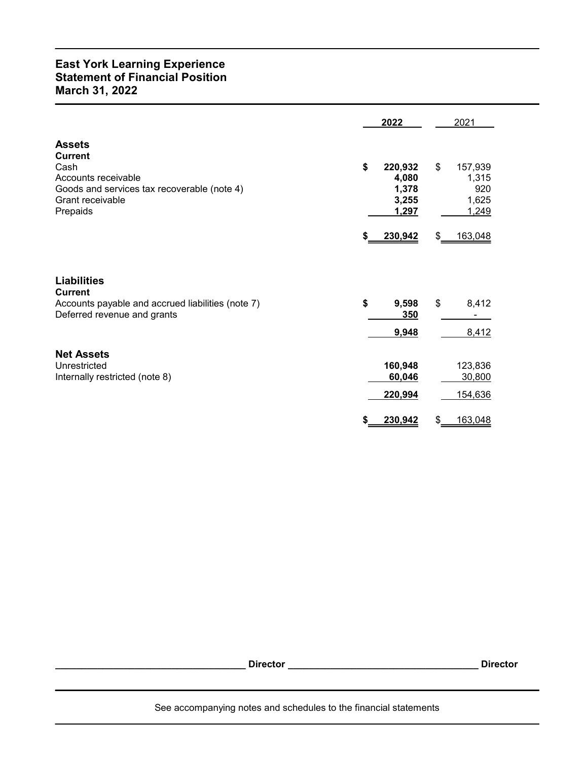# East York Learning Experience Statement of Financial Position March 31, 2022

|                                                                                                                                               | 2022 |                                             | 2021 |                                           |
|-----------------------------------------------------------------------------------------------------------------------------------------------|------|---------------------------------------------|------|-------------------------------------------|
| <b>Assets</b><br><b>Current</b><br>Cash<br>Accounts receivable<br>Goods and services tax recoverable (note 4)<br>Grant receivable<br>Prepaids | \$   | 220,932<br>4,080<br>1,378<br>3,255<br>1,297 | \$   | 157,939<br>1,315<br>920<br>1,625<br>1,249 |
|                                                                                                                                               | \$   | 230,942                                     | \$   | 163,048                                   |
| <b>Liabilities</b><br><b>Current</b><br>Accounts payable and accrued liabilities (note 7)<br>Deferred revenue and grants                      | \$   | 9,598<br>350<br>9,948                       | \$   | 8,412<br>8,412                            |
| <b>Net Assets</b><br>Unrestricted<br>Internally restricted (note 8)                                                                           |      | 160,948<br>60,046<br>220,994                |      | 123,836<br>30,800<br><u>154,636</u>       |
|                                                                                                                                               | \$   | 230,942                                     | \$   | 163,048                                   |

See accompanying notes and schedules to the financial statements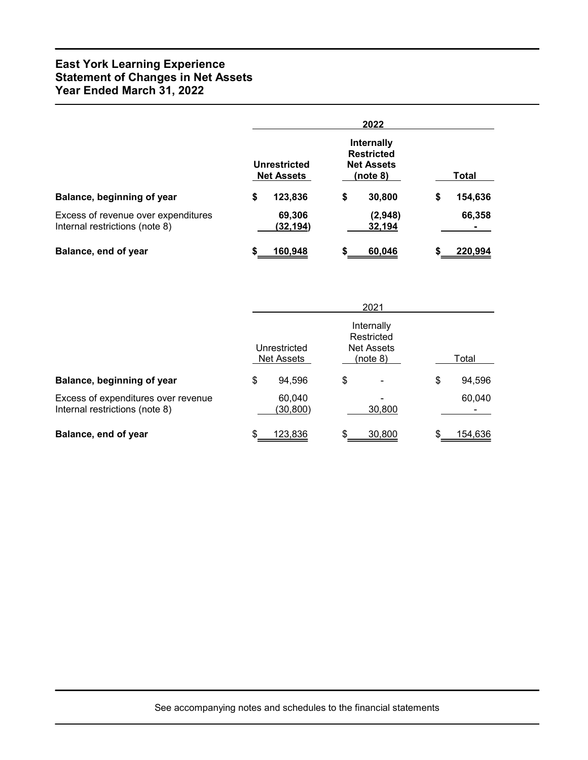# East York Learning Experience Statement of Changes in Net Assets Year Ended March 31, 2022

|                                                                       |                                                                                                                     |                     |    | 2022              |    |         |
|-----------------------------------------------------------------------|---------------------------------------------------------------------------------------------------------------------|---------------------|----|-------------------|----|---------|
|                                                                       | <b>Internally</b><br><b>Restricted</b><br><b>Unrestricted</b><br><b>Net Assets</b><br><b>Net Assets</b><br>(note 8) |                     |    | Total             |    |         |
| Balance, beginning of year                                            | \$                                                                                                                  | 123,836             | \$ | 30,800            | \$ | 154,636 |
| Excess of revenue over expenditures<br>Internal restrictions (note 8) |                                                                                                                     | 69,306<br>(32, 194) |    | (2,948)<br>32,194 |    | 66,358  |
| Balance, end of year                                                  |                                                                                                                     | 160,948             |    | 60,046            | S  | 220,994 |

|                                                                       | 2021                                                                             |                     |    |                |    |         |
|-----------------------------------------------------------------------|----------------------------------------------------------------------------------|---------------------|----|----------------|----|---------|
|                                                                       | Internally<br>Restricted<br>Net Assets<br>Unrestricted<br>Net Assets<br>(note 8) |                     |    | Total          |    |         |
| Balance, beginning of year                                            | \$                                                                               | 94,596              | \$ | $\blacksquare$ | \$ | 94,596  |
| Excess of expenditures over revenue<br>Internal restrictions (note 8) |                                                                                  | 60,040<br>(30, 800) |    | 30,800         |    | 60,040  |
| Balance, end of year                                                  | \$                                                                               | 123,836             |    | 30,800         |    | 154,636 |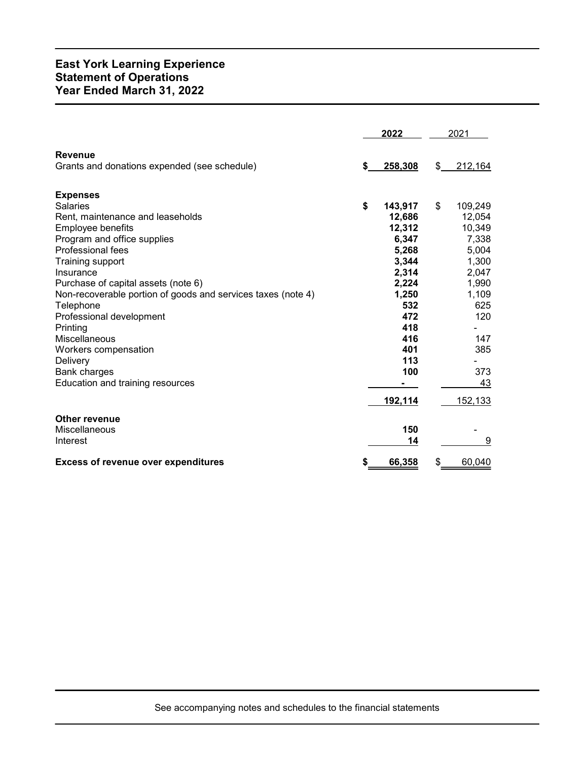# East York Learning Experience Statement of Operations Year Ended March 31, 2022

|                                                              | 2022 |         | 2021 |         |
|--------------------------------------------------------------|------|---------|------|---------|
| Revenue                                                      |      |         |      |         |
| Grants and donations expended (see schedule)                 | \$   | 258,308 | \$   | 212,164 |
| <b>Expenses</b>                                              |      |         |      |         |
| <b>Salaries</b>                                              | \$   | 143,917 | \$   | 109,249 |
| Rent. maintenance and leaseholds                             |      | 12,686  |      | 12,054  |
| <b>Employee benefits</b>                                     |      | 12,312  |      | 10,349  |
| Program and office supplies                                  |      | 6,347   |      | 7,338   |
| <b>Professional fees</b>                                     |      | 5,268   |      | 5,004   |
| <b>Training support</b>                                      |      | 3,344   |      | 1,300   |
| Insurance                                                    |      | 2,314   |      | 2,047   |
| Purchase of capital assets (note 6)                          |      | 2,224   |      | 1,990   |
| Non-recoverable portion of goods and services taxes (note 4) |      | 1,250   |      | 1,109   |
| Telephone                                                    |      | 532     |      | 625     |
| Professional development                                     |      | 472     |      | 120     |
| Printing                                                     |      | 418     |      |         |
| Miscellaneous                                                |      | 416     |      | 147     |
| Workers compensation                                         |      | 401     |      | 385     |
| Delivery                                                     |      | 113     |      |         |
| <b>Bank charges</b>                                          |      | 100     |      | 373     |
| Education and training resources                             |      |         |      | 43      |
|                                                              |      | 192,114 |      | 152,133 |
| Other revenue                                                |      |         |      |         |
| Miscellaneous                                                |      | 150     |      |         |
| Interest                                                     |      | 14      |      | 9       |
| <b>Excess of revenue over expenditures</b>                   | \$   | 66,358  | \$   | 60,040  |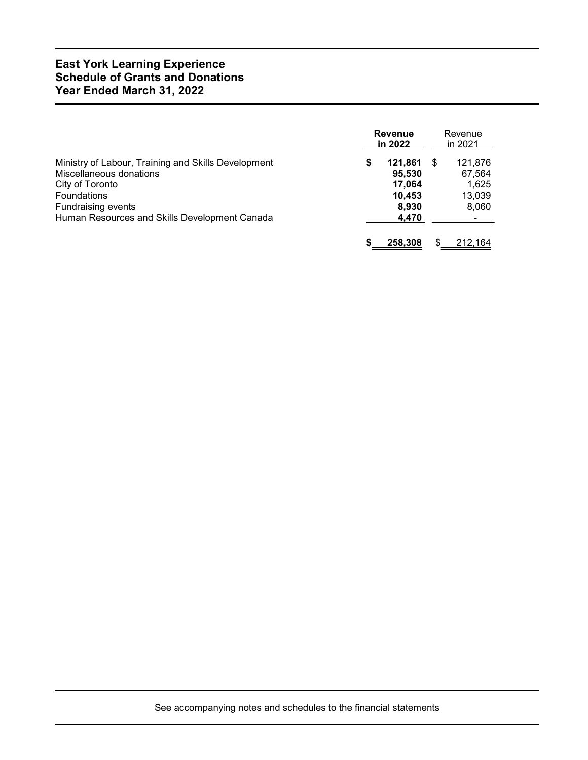# East York Learning Experience Schedule of Grants and Donations Year Ended March 31, 2022

|                                                                                                                                                                                                | <b>Revenue</b><br>in 2022 |                                                               | Revenue<br>in 2021 |                                               |
|------------------------------------------------------------------------------------------------------------------------------------------------------------------------------------------------|---------------------------|---------------------------------------------------------------|--------------------|-----------------------------------------------|
| Ministry of Labour, Training and Skills Development<br>Miscellaneous donations<br>City of Toronto<br><b>Foundations</b><br>Fundraising events<br>Human Resources and Skills Development Canada | \$                        | 121,861<br>\$<br>95,530<br>17,064<br>10.453<br>8,930<br>4,470 |                    | 121,876<br>67,564<br>1,625<br>13,039<br>8,060 |
|                                                                                                                                                                                                |                           | 258,308                                                       |                    | 212,164                                       |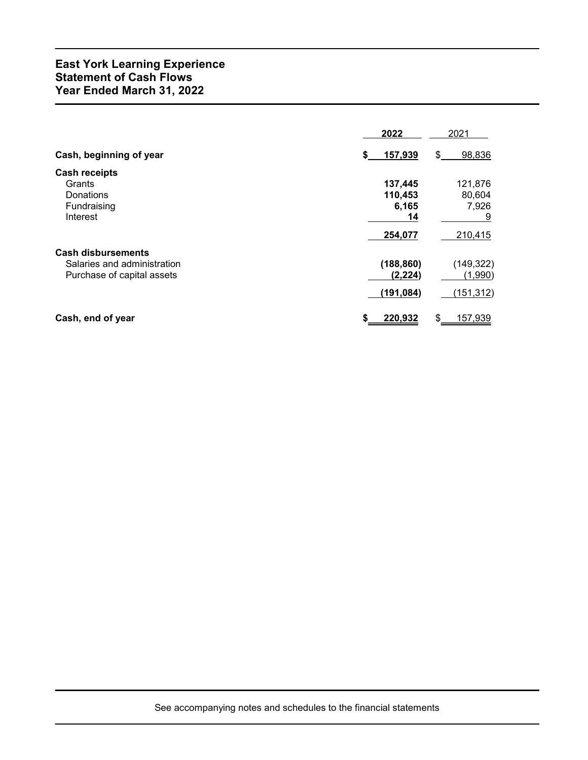# East York Learning Experience Statement of Cash Flows Year Ended March 31, 2022

|                             | 2022          | 2021         |
|-----------------------------|---------------|--------------|
| Cash, beginning of year     | 157,939<br>\$ | 98,836<br>\$ |
| <b>Cash receipts</b>        |               |              |
| Grants                      | 137,445       | 121,876      |
| Donations                   | 110,453       | 80,604       |
| Fundraising                 | 6,165         | 7,926        |
| Interest                    | 14            | 9            |
|                             | 254,077       | 210,415      |
| <b>Cash disbursements</b>   |               |              |
| Salaries and administration | (188, 860)    | (149, 322)   |
| Purchase of capital assets  | (2, 224)      | (1,990)      |
|                             | (191,084)     | (151, 312)   |
| Cash, end of year           | \$<br>220,932 | 157,939      |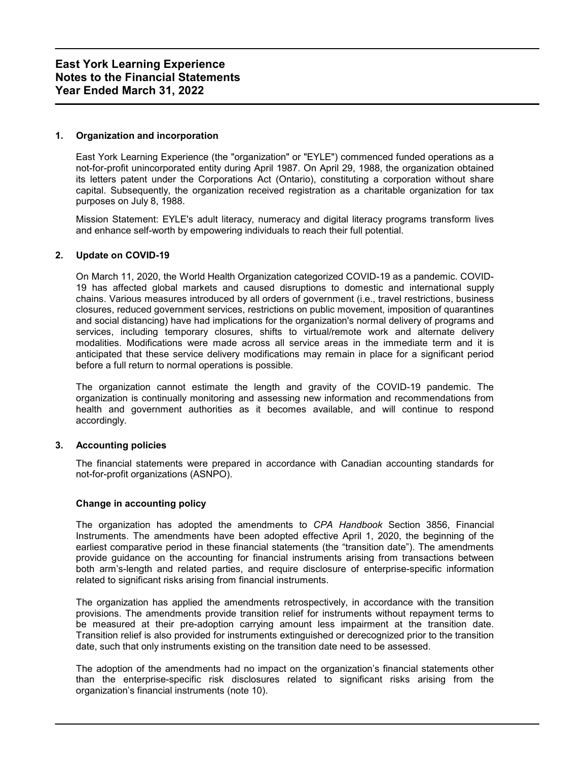# 1. Organization and incorporation

East York Learning Experience (the "organization" or "EYLE") commenced funded operations as a not-for-profit unincorporated entity during April 1987. On April 29, 1988, the organization obtained its letters patent under the Corporations Act (Ontario), constituting a corporation without share capital. Subsequently, the organization received registration as a charitable organization for tax purposes on July 8, 1988.

Mission Statement: EYLE's adult literacy, numeracy and digital literacy programs transform lives and enhance self-worth by empowering individuals to reach their full potential.

# 2. Update on COVID-19

On March 11, 2020, the World Health Organization categorized COVID-19 as a pandemic. COVID-19 has affected global markets and caused disruptions to domestic and international supply chains. Various measures introduced by all orders of government (i.e., travel restrictions, business closures, reduced government services, restrictions on public movement, imposition of quarantines and social distancing) have had implications for the organization's normal delivery of programs and services, including temporary closures, shifts to virtual/remote work and alternate delivery modalities. Modifications were made across all service areas in the immediate term and it is anticipated that these service delivery modifications may remain in place for a significant period before a full return to normal operations is possible.

The organization cannot estimate the length and gravity of the COVID-19 pandemic. The organization is continually monitoring and assessing new information and recommendations from health and government authorities as it becomes available, and will continue to respond accordingly.

## 3. Accounting policies

The financial statements were prepared in accordance with Canadian accounting standards for not-for-profit organizations (ASNPO).

## Change in accounting policy

The organization has adopted the amendments to CPA Handbook Section 3856, Financial Instruments. The amendments have been adopted effective April 1, 2020, the beginning of the earliest comparative period in these financial statements (the "transition date"). The amendments provide guidance on the accounting for financial instruments arising from transactions between both arm's-length and related parties, and require disclosure of enterprise-specific information related to significant risks arising from financial instruments.

The organization has applied the amendments retrospectively, in accordance with the transition provisions. The amendments provide transition relief for instruments without repayment terms to be measured at their pre-adoption carrying amount less impairment at the transition date. Transition relief is also provided for instruments extinguished or derecognized prior to the transition date, such that only instruments existing on the transition date need to be assessed.

The adoption of the amendments had no impact on the organization's financial statements other than the enterprise-specific risk disclosures related to significant risks arising from the organization's financial instruments (note 10).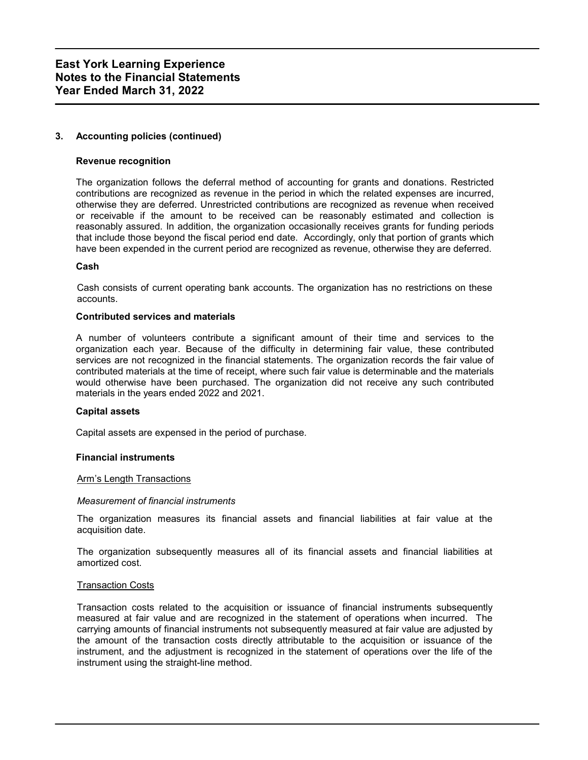# 3. Accounting policies (continued)

## Revenue recognition

The organization follows the deferral method of accounting for grants and donations. Restricted contributions are recognized as revenue in the period in which the related expenses are incurred, otherwise they are deferred. Unrestricted contributions are recognized as revenue when received or receivable if the amount to be received can be reasonably estimated and collection is reasonably assured. In addition, the organization occasionally receives grants for funding periods that include those beyond the fiscal period end date. Accordingly, only that portion of grants which have been expended in the current period are recognized as revenue, otherwise they are deferred.

## Cash

Cash consists of current operating bank accounts. The organization has no restrictions on these accounts.

### Contributed services and materials

A number of volunteers contribute a significant amount of their time and services to the organization each year. Because of the difficulty in determining fair value, these contributed services are not recognized in the financial statements. The organization records the fair value of contributed materials at the time of receipt, where such fair value is determinable and the materials would otherwise have been purchased. The organization did not receive any such contributed materials in the years ended 2022 and 2021.

## Capital assets

Capital assets are expensed in the period of purchase.

## Financial instruments

## Arm's Length Transactions

## Measurement of financial instruments

The organization measures its financial assets and financial liabilities at fair value at the acquisition date.

The organization subsequently measures all of its financial assets and financial liabilities at amortized cost.

## Transaction Costs

Transaction costs related to the acquisition or issuance of financial instruments subsequently measured at fair value and are recognized in the statement of operations when incurred. The carrying amounts of financial instruments not subsequently measured at fair value are adjusted by the amount of the transaction costs directly attributable to the acquisition or issuance of the instrument, and the adjustment is recognized in the statement of operations over the life of the instrument using the straight-line method.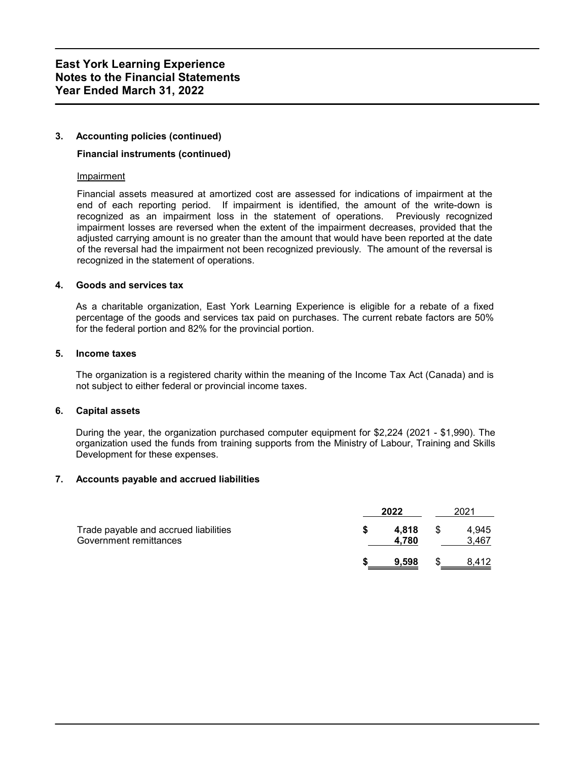# 3. Accounting policies (continued)

# Financial instruments (continued)

### Impairment

Financial assets measured at amortized cost are assessed for indications of impairment at the end of each reporting period. If impairment is identified, the amount of the write-down is recognized as an impairment loss in the statement of operations. Previously recognized impairment losses are reversed when the extent of the impairment decreases, provided that the adjusted carrying amount is no greater than the amount that would have been reported at the date of the reversal had the impairment not been recognized previously. The amount of the reversal is recognized in the statement of operations.

# 4. Goods and services tax

As a charitable organization, East York Learning Experience is eligible for a rebate of a fixed percentage of the goods and services tax paid on purchases. The current rebate factors are 50% for the federal portion and 82% for the provincial portion.

# 5. Income taxes

The organization is a registered charity within the meaning of the Income Tax Act (Canada) and is not subject to either federal or provincial income taxes.

# 6. Capital assets

During the year, the organization purchased computer equipment for \$2,224 (2021 - \$1,990). The organization used the funds from training supports from the Ministry of Labour, Training and Skills Development for these expenses.

## 7. Accounts payable and accrued liabilities

|                                                                 | 2022           |      |                |
|-----------------------------------------------------------------|----------------|------|----------------|
| Trade payable and accrued liabilities<br>Government remittances | 4.818<br>4.780 | - \$ | 4.945<br>3.467 |
|                                                                 | 9.598          |      |                |